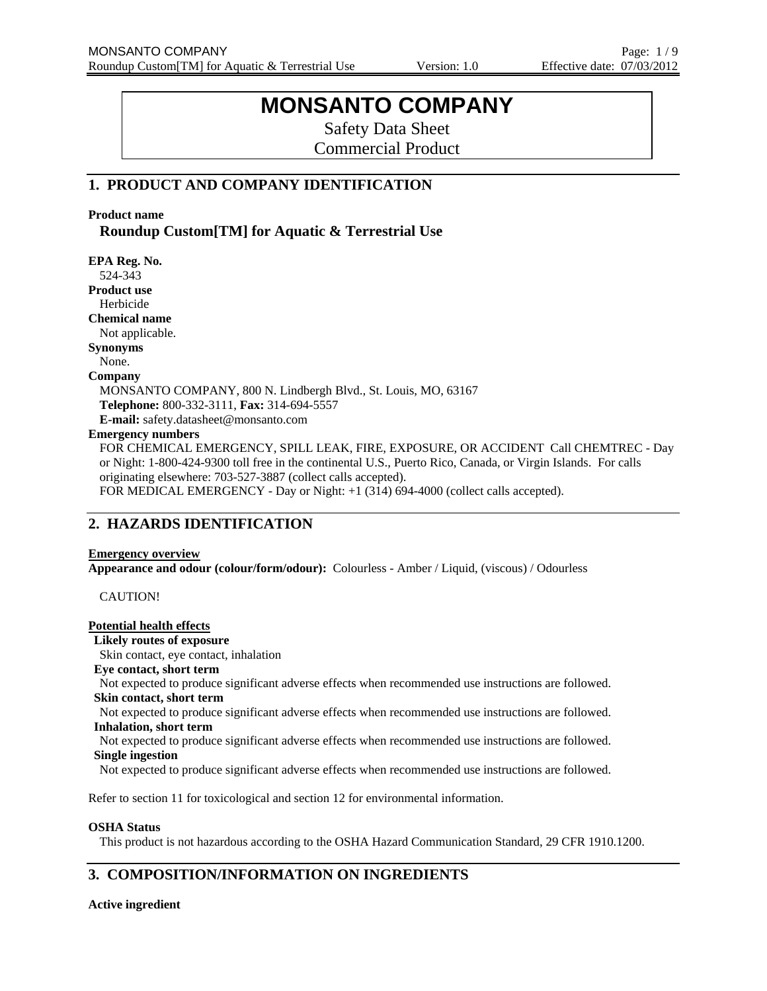# **MONSANTO COMPANY**

Safety Data Sheet Commercial Product

# **1. PRODUCT AND COMPANY IDENTIFICATION**

**Product name** 

**Roundup Custom[TM] for Aquatic & Terrestrial Use** 

**EPA Reg. No.**  524-343 **Product use** Herbicide **Chemical name**  Not applicable. **Synonyms**  None. **Company**  MONSANTO COMPANY, 800 N. Lindbergh Blvd., St. Louis, MO, 63167 **Telephone:** 800-332-3111, **Fax:** 314-694-5557 **E-mail:** safety.datasheet@monsanto.com **Emergency numbers**  FOR CHEMICAL EMERGENCY, SPILL LEAK, FIRE, EXPOSURE, OR ACCIDENT Call CHEMTREC - Day or Night: 1-800-424-9300 toll free in the continental U.S., Puerto Rico, Canada, or Virgin Islands. For calls originating elsewhere: 703-527-3887 (collect calls accepted).

FOR MEDICAL EMERGENCY - Day or Night: +1 (314) 694-4000 (collect calls accepted).

# **2. HAZARDS IDENTIFICATION**

### **Emergency overview**

**Appearance and odour (colour/form/odour):** Colourless - Amber / Liquid, (viscous) / Odourless

CAUTION!

#### **Potential health effects**

**Likely routes of exposure**

Skin contact, eye contact, inhalation

**Eye contact, short term** 

Not expected to produce significant adverse effects when recommended use instructions are followed. **Skin contact, short term**

Not expected to produce significant adverse effects when recommended use instructions are followed. **Inhalation, short term**

Not expected to produce significant adverse effects when recommended use instructions are followed. **Single ingestion**

Not expected to produce significant adverse effects when recommended use instructions are followed.

Refer to section 11 for toxicological and section 12 for environmental information.

#### **OSHA Status**

This product is not hazardous according to the OSHA Hazard Communication Standard, 29 CFR 1910.1200.

# **3. COMPOSITION/INFORMATION ON INGREDIENTS**

#### **Active ingredient**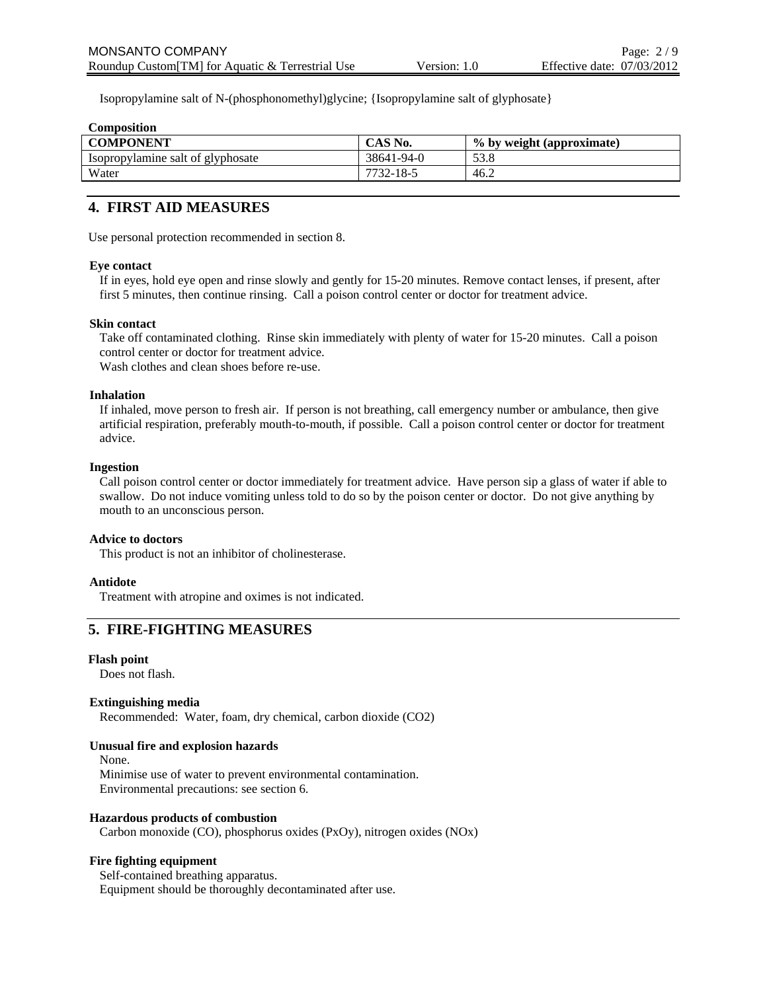Isopropylamine salt of N-(phosphonomethyl)glycine; {Isopropylamine salt of glyphosate}

| <b>Composition</b>                |            |                           |
|-----------------------------------|------------|---------------------------|
| <b>COMPONENT</b>                  | CAS No.    | % by weight (approximate) |
| Isopropylamine salt of glyphosate | 38641-94-0 | 53.8                      |
| Water                             | 7732-18-5  | 46.2                      |
|                                   |            |                           |

# **4. FIRST AID MEASURES**

Use personal protection recommended in section 8.

#### **Eye contact**

If in eyes, hold eye open and rinse slowly and gently for 15-20 minutes. Remove contact lenses, if present, after first 5 minutes, then continue rinsing. Call a poison control center or doctor for treatment advice.

#### **Skin contact**

Take off contaminated clothing. Rinse skin immediately with plenty of water for 15-20 minutes. Call a poison control center or doctor for treatment advice.

Wash clothes and clean shoes before re-use.

#### **Inhalation**

If inhaled, move person to fresh air. If person is not breathing, call emergency number or ambulance, then give artificial respiration, preferably mouth-to-mouth, if possible. Call a poison control center or doctor for treatment advice.

#### **Ingestion**

Call poison control center or doctor immediately for treatment advice. Have person sip a glass of water if able to swallow. Do not induce vomiting unless told to do so by the poison center or doctor. Do not give anything by mouth to an unconscious person.

#### **Advice to doctors**

This product is not an inhibitor of cholinesterase.

#### **Antidote**

Treatment with atropine and oximes is not indicated.

# **5. FIRE-FIGHTING MEASURES**

#### **Flash point**

Does not flash.

### **Extinguishing media**

Recommended: Water, foam, dry chemical, carbon dioxide (CO2)

#### **Unusual fire and explosion hazards**

None.

Minimise use of water to prevent environmental contamination. Environmental precautions: see section 6.

#### **Hazardous products of combustion**

Carbon monoxide (CO), phosphorus oxides (PxOy), nitrogen oxides (NOx)

#### **Fire fighting equipment**

Self-contained breathing apparatus. Equipment should be thoroughly decontaminated after use.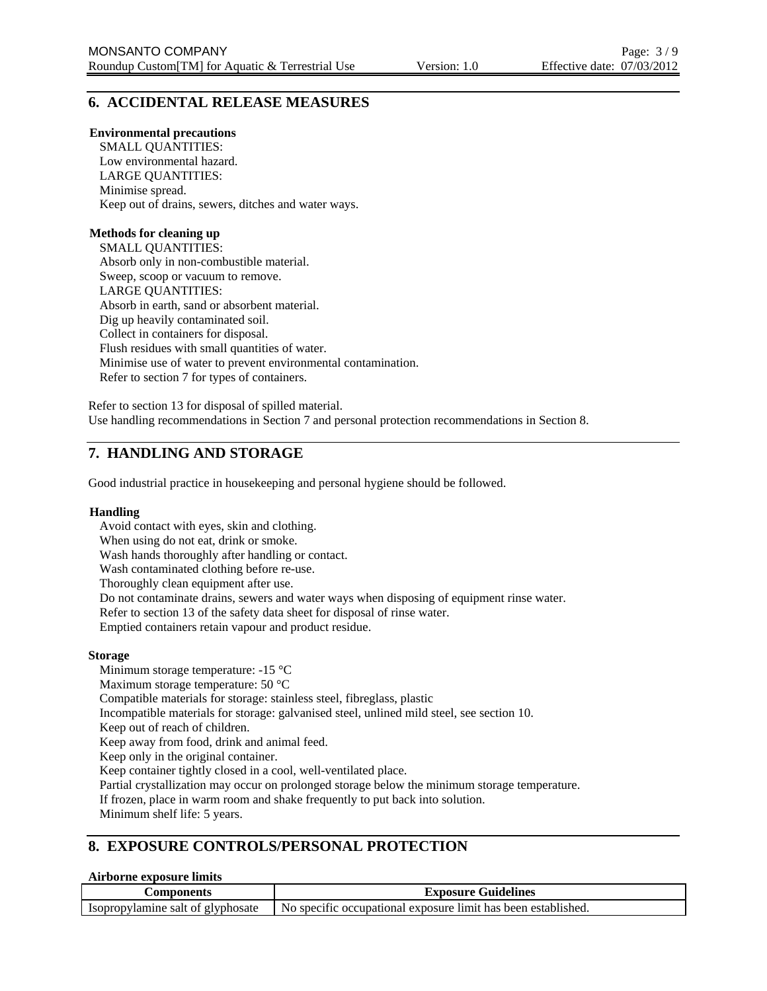# **6. ACCIDENTAL RELEASE MEASURES**

#### **Environmental precautions**

SMALL QUANTITIES: Low environmental hazard. LARGE QUANTITIES: Minimise spread. Keep out of drains, sewers, ditches and water ways.

### **Methods for cleaning up**

SMALL QUANTITIES: Absorb only in non-combustible material. Sweep, scoop or vacuum to remove. LARGE QUANTITIES: Absorb in earth, sand or absorbent material. Dig up heavily contaminated soil. Collect in containers for disposal. Flush residues with small quantities of water. Minimise use of water to prevent environmental contamination. Refer to section 7 for types of containers.

Refer to section 13 for disposal of spilled material. Use handling recommendations in Section 7 and personal protection recommendations in Section 8.

# **7. HANDLING AND STORAGE**

Good industrial practice in housekeeping and personal hygiene should be followed.

#### **Handling**

Avoid contact with eyes, skin and clothing. When using do not eat, drink or smoke. Wash hands thoroughly after handling or contact. Wash contaminated clothing before re-use. Thoroughly clean equipment after use. Do not contaminate drains, sewers and water ways when disposing of equipment rinse water. Refer to section 13 of the safety data sheet for disposal of rinse water. Emptied containers retain vapour and product residue. **Storage** Minimum storage temperature: -15 °C Maximum storage temperature: 50 °C

Compatible materials for storage: stainless steel, fibreglass, plastic

Incompatible materials for storage: galvanised steel, unlined mild steel, see section 10.

Keep out of reach of children.

Keep away from food, drink and animal feed.

Keep only in the original container.

Keep container tightly closed in a cool, well-ventilated place.

Partial crystallization may occur on prolonged storage below the minimum storage temperature.

If frozen, place in warm room and shake frequently to put back into solution.

Minimum shelf life: 5 years.

### **8. EXPOSURE CONTROLS/PERSONAL PROTECTION**

#### **Airborne exposure limits**

| <b>Components</b>                 | <b>Exposure Guidelines</b>                                    |  |
|-----------------------------------|---------------------------------------------------------------|--|
| Isopropylamine salt of glyphosate | No specific occupational exposure limit has been established. |  |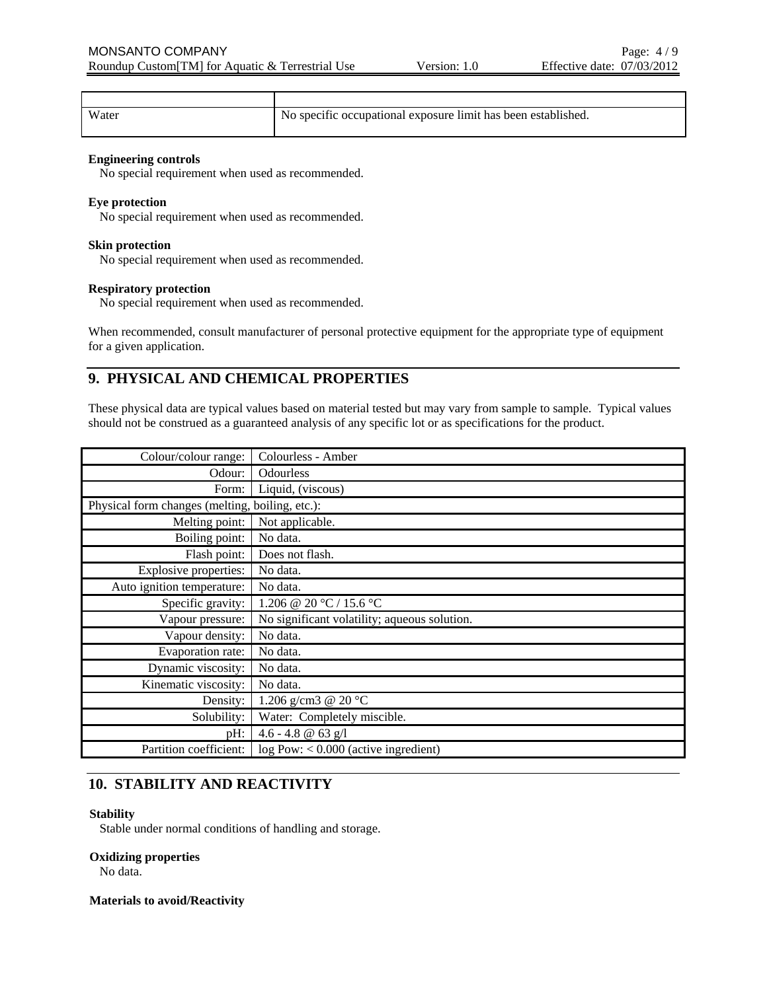| Water | No specific occupational exposure limit has been established. |
|-------|---------------------------------------------------------------|

#### **Engineering controls**

No special requirement when used as recommended.

#### **Eye protection**

No special requirement when used as recommended.

#### **Skin protection**

No special requirement when used as recommended.

### **Respiratory protection**

No special requirement when used as recommended.

When recommended, consult manufacturer of personal protective equipment for the appropriate type of equipment for a given application.

# **9. PHYSICAL AND CHEMICAL PROPERTIES**

These physical data are typical values based on material tested but may vary from sample to sample. Typical values should not be construed as a guaranteed analysis of any specific lot or as specifications for the product.

| Colour/colour range:                            | Colourless - Amber                           |
|-------------------------------------------------|----------------------------------------------|
| Odour:                                          | <b>Odourless</b>                             |
| Form:                                           | Liquid, (viscous)                            |
| Physical form changes (melting, boiling, etc.): |                                              |
| Melting point:                                  | Not applicable.                              |
| Boiling point:                                  | No data.                                     |
| Flash point:                                    | Does not flash.                              |
| Explosive properties:                           | No data.                                     |
| Auto ignition temperature:                      | No data.                                     |
| Specific gravity:                               | 1.206 @ 20 °C / 15.6 °C                      |
| Vapour pressure:                                | No significant volatility; aqueous solution. |
| Vapour density:                                 | No data.                                     |
| Evaporation rate:                               | No data.                                     |
| Dynamic viscosity:                              | No data.                                     |
| Kinematic viscosity:                            | No data.                                     |
| Density:                                        | 1.206 g/cm3 @ 20 °C                          |
| Solubility:                                     | Water: Completely miscible.                  |
| pH:                                             | 4.6 - 4.8 $@$ 63 g/l                         |
| Partition coefficient:                          | $log Pow: < 0.000$ (active ingredient)       |

# **10. STABILITY AND REACTIVITY**

#### **Stability**

Stable under normal conditions of handling and storage.

#### **Oxidizing properties**

No data.

#### **Materials to avoid/Reactivity**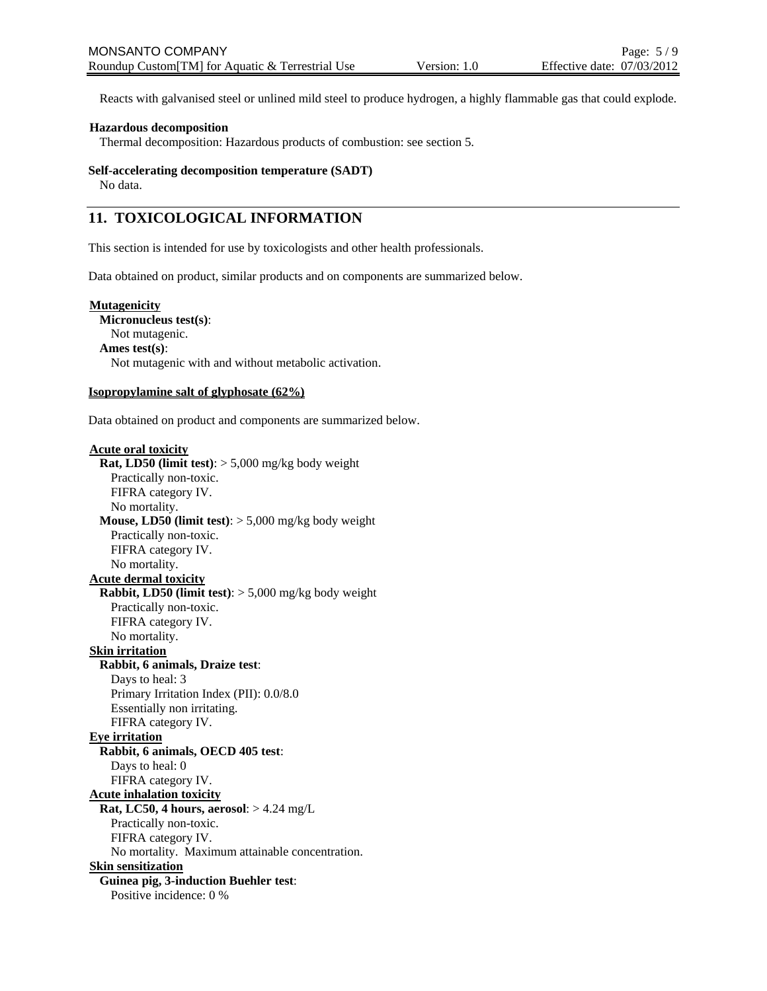Reacts with galvanised steel or unlined mild steel to produce hydrogen, a highly flammable gas that could explode.

#### **Hazardous decomposition**

Thermal decomposition: Hazardous products of combustion: see section 5.

#### **Self-accelerating decomposition temperature (SADT)**

No data.

# **11. TOXICOLOGICAL INFORMATION**

This section is intended for use by toxicologists and other health professionals.

Data obtained on product, similar products and on components are summarized below.

#### **Mutagenicity**

**Micronucleus test(s)**: Not mutagenic. **Ames test(s)**: Not mutagenic with and without metabolic activation.

#### **Isopropylamine salt of glyphosate (62%)**

Data obtained on product and components are summarized below.

#### **Acute oral toxicity**

**Rat, LD50 (limit test)**: > 5,000 mg/kg body weight Practically non-toxic. FIFRA category IV. No mortality. **Mouse, LD50 (limit test)**: > 5,000 mg/kg body weight Practically non-toxic. FIFRA category IV. No mortality. **Acute dermal toxicity Rabbit, LD50 (limit test)**: > 5,000 mg/kg body weight Practically non-toxic. FIFRA category IV. No mortality. **Skin irritation Rabbit, 6 animals, Draize test**: Days to heal: 3 Primary Irritation Index (PII): 0.0/8.0 Essentially non irritating. FIFRA category IV. **Eye irritation Rabbit, 6 animals, OECD 405 test**: Days to heal: 0 FIFRA category IV. **Acute inhalation toxicity Rat, LC50, 4 hours, aerosol**: > 4.24 mg/L Practically non-toxic. FIFRA category IV. No mortality. Maximum attainable concentration. **Skin sensitization Guinea pig, 3-induction Buehler test**: Positive incidence: 0 %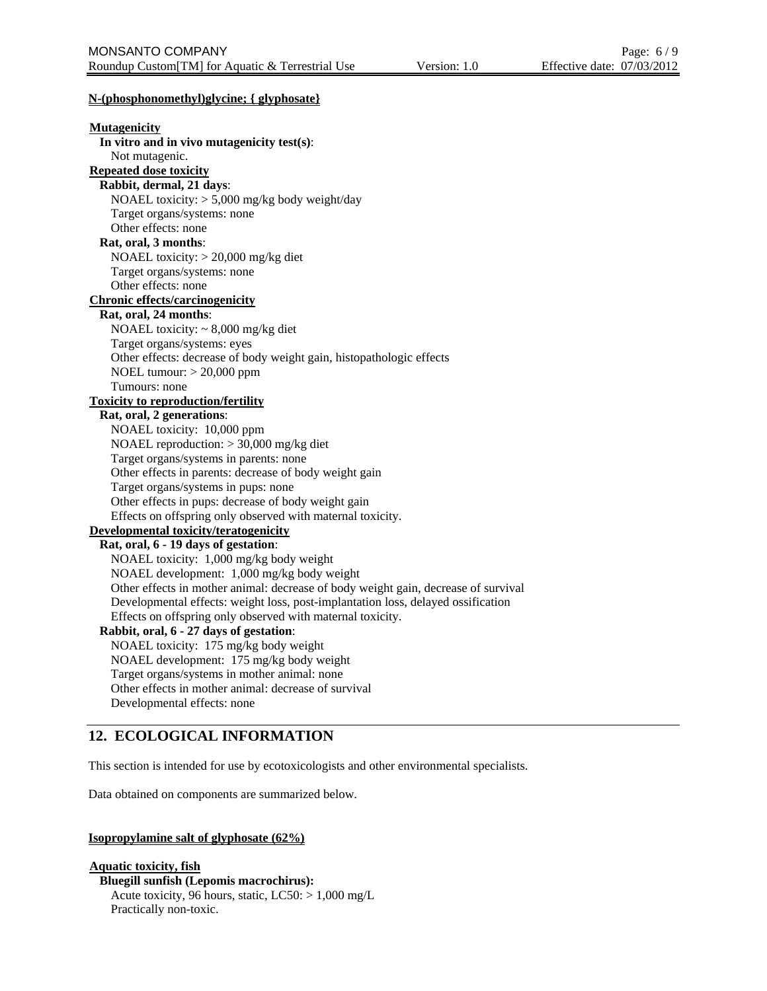### **N-(phosphonomethyl)glycine; { glyphosate}**

| <b>Mutagenicity</b>                                                                |
|------------------------------------------------------------------------------------|
| In vitro and in vivo mutagenicity test(s):                                         |
| Not mutagenic.                                                                     |
| <b>Repeated dose toxicity</b>                                                      |
| Rabbit, dermal, 21 days:                                                           |
| NOAEL toxicity: > 5,000 mg/kg body weight/day                                      |
| Target organs/systems: none                                                        |
| Other effects: none                                                                |
| Rat, oral, 3 months:                                                               |
| NOAEL toxicity: > 20,000 mg/kg diet                                                |
| Target organs/systems: none                                                        |
| Other effects: none                                                                |
| <b>Chronic effects/carcinogenicity</b>                                             |
| Rat, oral, 24 months:                                                              |
| NOAEL toxicity: $\sim 8,000$ mg/kg diet                                            |
| Target organs/systems: eyes                                                        |
| Other effects: decrease of body weight gain, histopathologic effects               |
| NOEL tumour: $>$ 20,000 ppm                                                        |
| Tumours: none                                                                      |
| <b>Toxicity to reproduction/fertility</b>                                          |
| Rat, oral, 2 generations:                                                          |
| NOAEL toxicity: 10,000 ppm                                                         |
| NOAEL reproduction: $>$ 30,000 mg/kg diet                                          |
| Target organs/systems in parents: none                                             |
| Other effects in parents: decrease of body weight gain                             |
| Target organs/systems in pups: none                                                |
| Other effects in pups: decrease of body weight gain                                |
| Effects on offspring only observed with maternal toxicity.                         |
| <b>Developmental toxicity/teratogenicity</b>                                       |
| Rat, oral, 6 - 19 days of gestation:                                               |
| NOAEL toxicity: 1,000 mg/kg body weight                                            |
| NOAEL development: 1,000 mg/kg body weight                                         |
| Other effects in mother animal: decrease of body weight gain, decrease of survival |
| Developmental effects: weight loss, post-implantation loss, delayed ossification   |
| Effects on offspring only observed with maternal toxicity.                         |
| Rabbit, oral, 6 - 27 days of gestation:                                            |
| NOAEL toxicity: 175 mg/kg body weight                                              |
| NOAEL development: 175 mg/kg body weight                                           |
| Target organs/systems in mother animal: none                                       |
| Other effects in mother animal: decrease of survival                               |
| Developmental effects: none                                                        |
|                                                                                    |

# **12. ECOLOGICAL INFORMATION**

This section is intended for use by ecotoxicologists and other environmental specialists.

Data obtained on components are summarized below.

### **Isopropylamine salt of glyphosate (62%)**

**Aquatic toxicity, fish Bluegill sunfish (Lepomis macrochirus):** Acute toxicity, 96 hours, static, LC50: > 1,000 mg/L Practically non-toxic.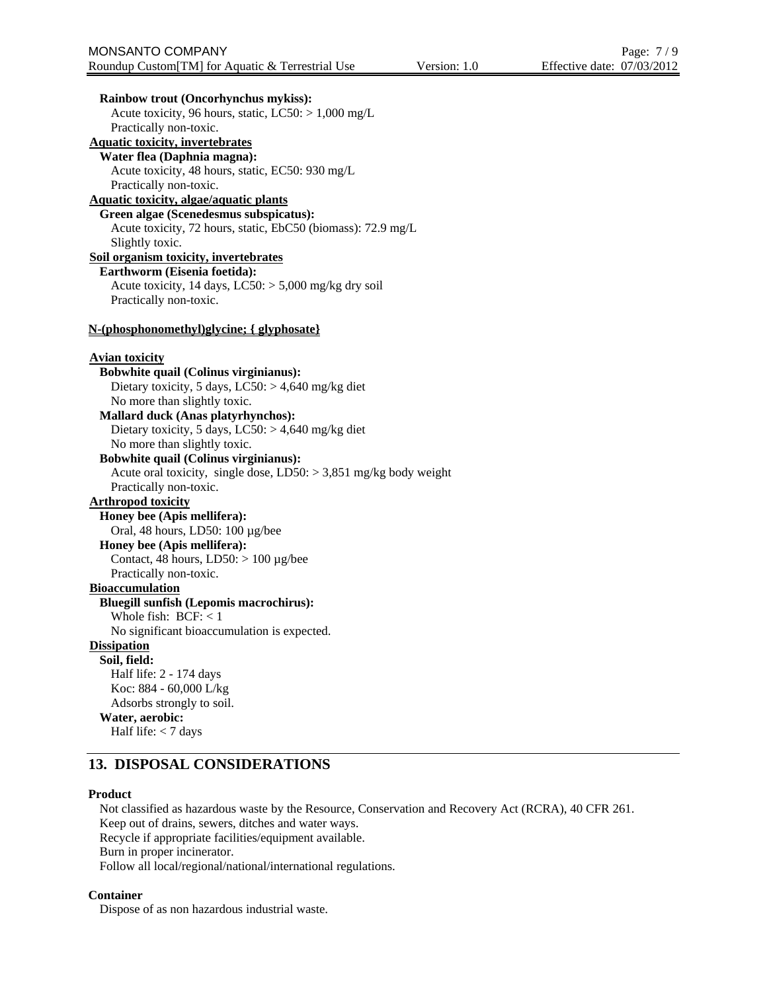**Rainbow trout (Oncorhynchus mykiss):** Acute toxicity, 96 hours, static,  $LC50$ :  $> 1,000$  mg/L Practically non-toxic. **Aquatic toxicity, invertebrates Water flea (Daphnia magna):** Acute toxicity, 48 hours, static, EC50: 930 mg/L Practically non-toxic. **Aquatic toxicity, algae/aquatic plants Green algae (Scenedesmus subspicatus):** Acute toxicity, 72 hours, static, EbC50 (biomass): 72.9 mg/L Slightly toxic. **Soil organism toxicity, invertebrates Earthworm (Eisenia foetida):** Acute toxicity, 14 days,  $LC50$ :  $> 5,000$  mg/kg dry soil Practically non-toxic. **N-(phosphonomethyl)glycine; { glyphosate} Avian toxicity Bobwhite quail (Colinus virginianus):** Dietary toxicity, 5 days,  $LC50$ :  $> 4,640$  mg/kg diet No more than slightly toxic. **Mallard duck (Anas platyrhynchos):** Dietary toxicity, 5 days,  $LC50$ :  $> 4,640$  mg/kg diet No more than slightly toxic. **Bobwhite quail (Colinus virginianus):** Acute oral toxicity, single dose,  $LD50: > 3,851$  mg/kg body weight Practically non-toxic. **Arthropod toxicity Honey bee (Apis mellifera):** Oral, 48 hours, LD50: 100 µg/bee **Honey bee (Apis mellifera):** Contact, 48 hours,  $LD50: > 100 \mu g/bee$ Practically non-toxic. **Bioaccumulation Bluegill sunfish (Lepomis macrochirus):** Whole fish:  $BCF: < 1$ No significant bioaccumulation is expected. **Dissipation Soil, field:** Half life: 2 - 174 days Koc: 884 - 60,000 L/kg Adsorbs strongly to soil. **Water, aerobic:** Half life: < 7 days **13. DISPOSAL CONSIDERATIONS** 

#### **Product**

Not classified as hazardous waste by the Resource, Conservation and Recovery Act (RCRA), 40 CFR 261. Keep out of drains, sewers, ditches and water ways. Recycle if appropriate facilities/equipment available. Burn in proper incinerator. Follow all local/regional/national/international regulations.

#### **Container**

Dispose of as non hazardous industrial waste.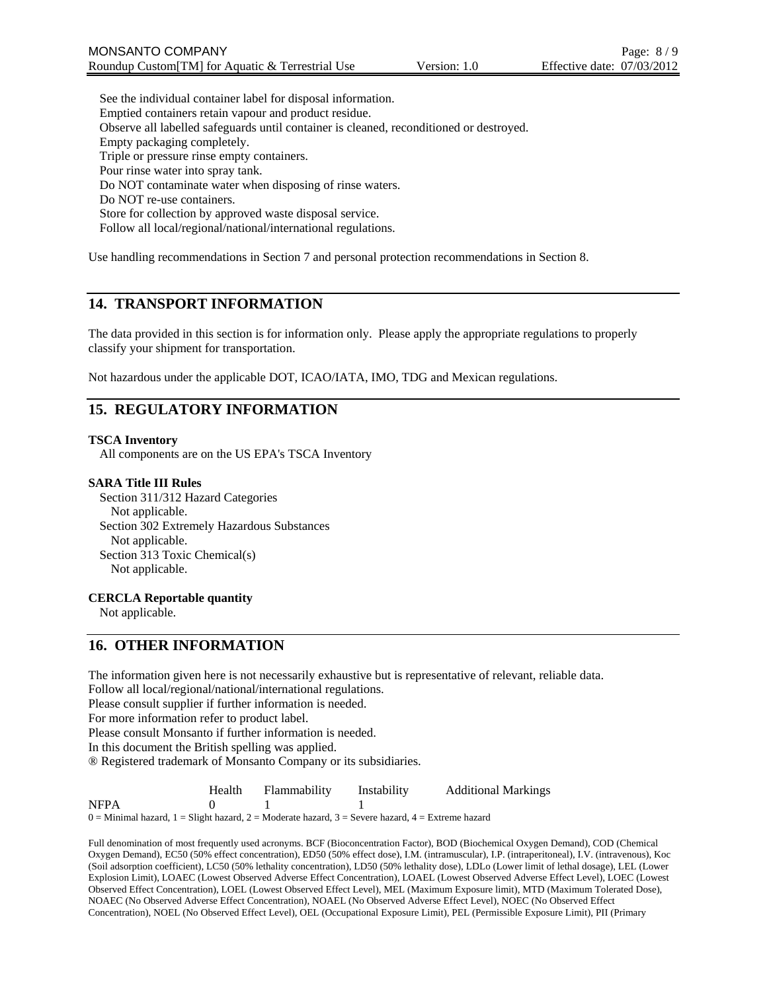See the individual container label for disposal information. Emptied containers retain vapour and product residue. Observe all labelled safeguards until container is cleaned, reconditioned or destroyed. Empty packaging completely. Triple or pressure rinse empty containers. Pour rinse water into spray tank. Do NOT contaminate water when disposing of rinse waters. Do NOT re-use containers. Store for collection by approved waste disposal service. Follow all local/regional/national/international regulations.

Use handling recommendations in Section 7 and personal protection recommendations in Section 8.

# **14. TRANSPORT INFORMATION**

The data provided in this section is for information only. Please apply the appropriate regulations to properly classify your shipment for transportation.

Not hazardous under the applicable DOT, ICAO/IATA, IMO, TDG and Mexican regulations.

# **15. REGULATORY INFORMATION**

#### **TSCA Inventory**

All components are on the US EPA's TSCA Inventory

#### **SARA Title III Rules**

Section 311/312 Hazard Categories Not applicable. Section 302 Extremely Hazardous Substances Not applicable. Section 313 Toxic Chemical(s) Not applicable.

#### **CERCLA Reportable quantity**

Not applicable.

### **16. OTHER INFORMATION**

The information given here is not necessarily exhaustive but is representative of relevant, reliable data. Follow all local/regional/national/international regulations. Please consult supplier if further information is needed. For more information refer to product label. Please consult Monsanto if further information is needed. In this document the British spelling was applied. ® Registered trademark of Monsanto Company or its subsidiaries. Health Flammability Instability Additional Markings

NFPA 0 1 1  $0 =$  Minimal hazard,  $1 =$  Slight hazard,  $2 =$  Moderate hazard,  $3 =$  Severe hazard,  $4 =$  Extreme hazard

Full denomination of most frequently used acronyms. BCF (Bioconcentration Factor), BOD (Biochemical Oxygen Demand), COD (Chemical Oxygen Demand), EC50 (50% effect concentration), ED50 (50% effect dose), I.M. (intramuscular), I.P. (intraperitoneal), I.V. (intravenous), Koc (Soil adsorption coefficient), LC50 (50% lethality concentration), LD50 (50% lethality dose), LDLo (Lower limit of lethal dosage), LEL (Lower Explosion Limit), LOAEC (Lowest Observed Adverse Effect Concentration), LOAEL (Lowest Observed Adverse Effect Level), LOEC (Lowest Observed Effect Concentration), LOEL (Lowest Observed Effect Level), MEL (Maximum Exposure limit), MTD (Maximum Tolerated Dose), NOAEC (No Observed Adverse Effect Concentration), NOAEL (No Observed Adverse Effect Level), NOEC (No Observed Effect Concentration), NOEL (No Observed Effect Level), OEL (Occupational Exposure Limit), PEL (Permissible Exposure Limit), PII (Primary